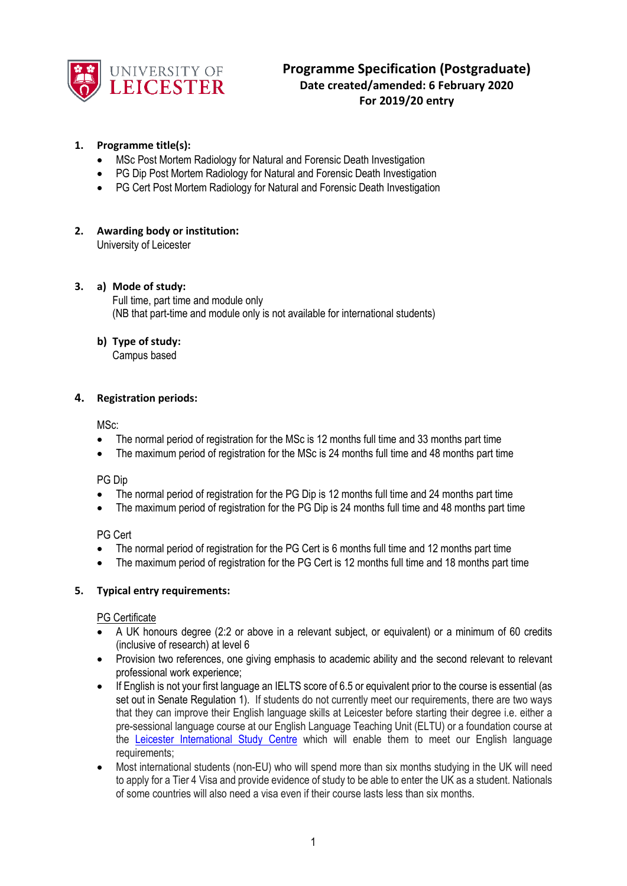

# **Programme Specification (Postgraduate) Date created/amended: 6 February 2020 For 2019/20 entry**

# **1. Programme title(s):**

- MSc Post Mortem Radiology for Natural and Forensic Death Investigation
- PG Dip Post Mortem Radiology for Natural and Forensic Death Investigation
- PG Cert Post Mortem Radiology for Natural and Forensic Death Investigation

# **2. Awarding body or institution:**

University of Leicester

# **3. a) Mode of study:**

Full time, part time and module only (NB that part-time and module only is not available for international students)

# **b) Type of study:**

Campus based

# **4. Registration periods:**

MSc:

- The normal period of registration for the MSc is 12 months full time and 33 months part time
- The maximum period of registration for the MSc is 24 months full time and 48 months part time

PG Dip

- The normal period of registration for the PG Dip is 12 months full time and 24 months part time
- The maximum period of registration for the PG Dip is 24 months full time and 48 months part time

PG Cert

- The normal period of registration for the PG Cert is 6 months full time and 12 months part time
- The maximum period of registration for the PG Cert is 12 months full time and 18 months part time

# **5. Typical entry requirements:**

# PG Certificate

- A UK honours degree (2:2 or above in a relevant subject, or equivalent) or a minimum of 60 credits (inclusive of research) at level 6
- Provision two references, one giving emphasis to academic ability and the second relevant to relevant professional work experience;
- If English is not your first language an IELTS score of 6.5 or equivalent prior to the course is essential (as set out in Senate Regulation 1). If students do not currently meet our requirements, there are two ways that they can improve their English language skills at Leicester before starting their degree i.e. either a pre-sessional language course at our English Language Teaching Unit (ELTU) or a foundation course at the [Leicester International Study Centre](http://www.leicesterisc.com/?ch=uniweb) which will enable them to meet our English language requirements;
- Most international students (non-EU) who will spend more than six months studying in the UK will need to apply for a Tier 4 Visa and provide evidence of study to be able to enter the UK as a student. Nationals of some countries will also need a visa even if their course lasts less than six months.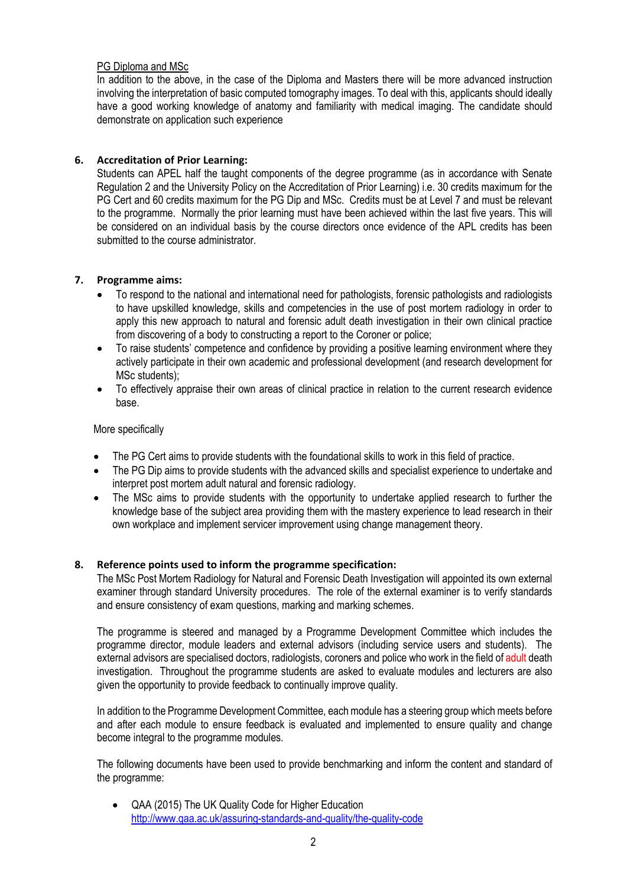# PG Diploma and MSc

In addition to the above, in the case of the Diploma and Masters there will be more advanced instruction involving the interpretation of basic computed tomography images. To deal with this, applicants should ideally have a good working knowledge of anatomy and familiarity with medical imaging. The candidate should demonstrate on application such experience

# **6. Accreditation of Prior Learning:**

Students can APEL half the taught components of the degree programme (as in accordance with Senate Regulation 2 and the University Policy on the Accreditation of Prior Learning) i.e. 30 credits maximum for the PG Cert and 60 credits maximum for the PG Dip and MSc. Credits must be at Level 7 and must be relevant to the programme. Normally the prior learning must have been achieved within the last five years. This will be considered on an individual basis by the course directors once evidence of the APL credits has been submitted to the course administrator.

#### **7. Programme aims:**

- To respond to the national and international need for pathologists, forensic pathologists and radiologists to have upskilled knowledge, skills and competencies in the use of post mortem radiology in order to apply this new approach to natural and forensic adult death investigation in their own clinical practice from discovering of a body to constructing a report to the Coroner or police;
- To raise students' competence and confidence by providing a positive learning environment where they actively participate in their own academic and professional development (and research development for MSc students);
- To effectively appraise their own areas of clinical practice in relation to the current research evidence base.

#### More specifically

- The PG Cert aims to provide students with the foundational skills to work in this field of practice.
- The PG Dip aims to provide students with the advanced skills and specialist experience to undertake and interpret post mortem adult natural and forensic radiology.
- The MSc aims to provide students with the opportunity to undertake applied research to further the knowledge base of the subject area providing them with the mastery experience to lead research in their own workplace and implement servicer improvement using change management theory.

#### **8. Reference points used to inform the programme specification:**

The MSc Post Mortem Radiology for Natural and Forensic Death Investigation will appointed its own external examiner through standard University procedures. The role of the external examiner is to verify standards and ensure consistency of exam questions, marking and marking schemes.

The programme is steered and managed by a Programme Development Committee which includes the programme director, module leaders and external advisors (including service users and students). The external advisors are specialised doctors, radiologists, coroners and police who work in the field of adult death investigation. Throughout the programme students are asked to evaluate modules and lecturers are also given the opportunity to provide feedback to continually improve quality.

In addition to the Programme Development Committee, each module has a steering group which meets before and after each module to ensure feedback is evaluated and implemented to ensure quality and change become integral to the programme modules.

The following documents have been used to provide benchmarking and inform the content and standard of the programme:

• QAA (2015) The UK Quality Code for Higher Education <http://www.qaa.ac.uk/assuring-standards-and-quality/the-quality-code>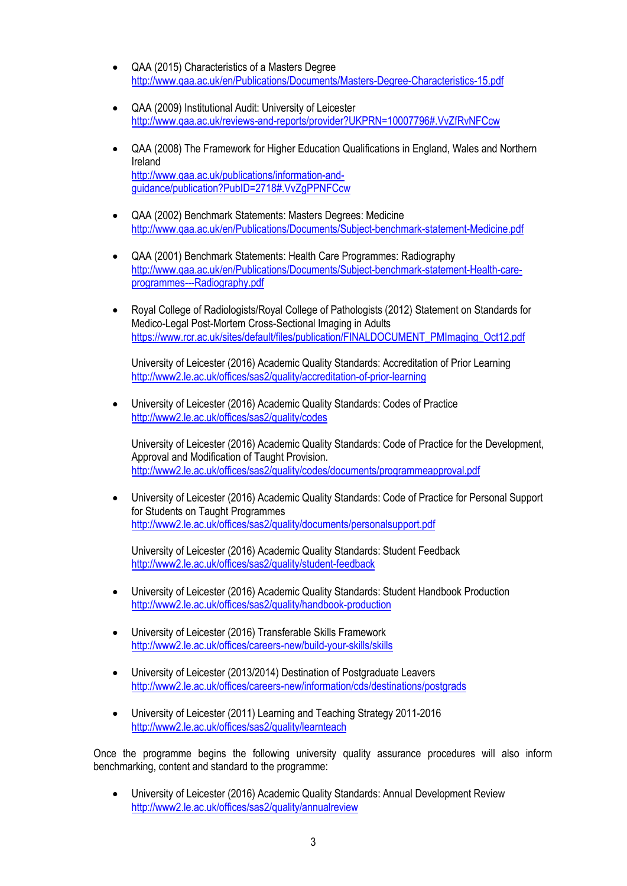- QAA (2015) Characteristics of a Masters Degree <http://www.qaa.ac.uk/en/Publications/Documents/Masters-Degree-Characteristics-15.pdf>
- QAA (2009) Institutional Audit: University of Leicester <http://www.qaa.ac.uk/reviews-and-reports/provider?UKPRN=10007796#.VvZfRvNFCcw>
- QAA (2008) The Framework for Higher Education Qualifications in England, Wales and Northern Ireland [http://www.qaa.ac.uk/publications/information-and](http://www.qaa.ac.uk/publications/information-and-guidance/publication?PubID=2718#.VvZgPPNFCcw)[guidance/publication?PubID=2718#.VvZgPPNFCcw](http://www.qaa.ac.uk/publications/information-and-guidance/publication?PubID=2718#.VvZgPPNFCcw)
- QAA (2002) Benchmark Statements: Masters Degrees: Medicine <http://www.qaa.ac.uk/en/Publications/Documents/Subject-benchmark-statement-Medicine.pdf>
- QAA (2001) Benchmark Statements: Health Care Programmes: Radiography [http://www.qaa.ac.uk/en/Publications/Documents/Subject-benchmark-statement-Health-care](http://www.qaa.ac.uk/en/Publications/Documents/Subject-benchmark-statement-Health-care-programmes---Radiography.pdf)[programmes---Radiography.pdf](http://www.qaa.ac.uk/en/Publications/Documents/Subject-benchmark-statement-Health-care-programmes---Radiography.pdf)
- Royal College of Radiologists/Royal College of Pathologists (2012) Statement on Standards for Medico-Legal Post-Mortem Cross-Sectional Imaging in Adults [https://www.rcr.ac.uk/sites/default/files/publication/FINALDOCUMENT\\_PMImaging\\_Oct12.pdf](https://www.rcr.ac.uk/sites/default/files/publication/FINALDOCUMENT_PMImaging_Oct12.pdf)

University of Leicester (2016) Academic Quality Standards: Accreditation of Prior Learning <http://www2.le.ac.uk/offices/sas2/quality/accreditation-of-prior-learning>

• University of Leicester (2016) Academic Quality Standards: Codes of Practice <http://www2.le.ac.uk/offices/sas2/quality/codes>

University of Leicester (2016) Academic Quality Standards: Code of Practice for the Development, Approval and Modification of Taught Provision. <http://www2.le.ac.uk/offices/sas2/quality/codes/documents/programmeapproval.pdf>

• University of Leicester (2016) Academic Quality Standards: Code of Practice for Personal Support for Students on Taught Programmes <http://www2.le.ac.uk/offices/sas2/quality/documents/personalsupport.pdf>

University of Leicester (2016) Academic Quality Standards: Student Feedback <http://www2.le.ac.uk/offices/sas2/quality/student-feedback>

- University of Leicester (2016) Academic Quality Standards: Student Handbook Production <http://www2.le.ac.uk/offices/sas2/quality/handbook-production>
- University of Leicester (2016) Transferable Skills Framework <http://www2.le.ac.uk/offices/careers-new/build-your-skills/skills>
- University of Leicester (2013/2014) Destination of Postgraduate Leavers <http://www2.le.ac.uk/offices/careers-new/information/cds/destinations/postgrads>
- University of Leicester (2011) Learning and Teaching Strategy 2011-2016 <http://www2.le.ac.uk/offices/sas2/quality/learnteach>

Once the programme begins the following university quality assurance procedures will also inform benchmarking, content and standard to the programme:

• University of Leicester (2016) Academic Quality Standards: Annual Development Review <http://www2.le.ac.uk/offices/sas2/quality/annualreview>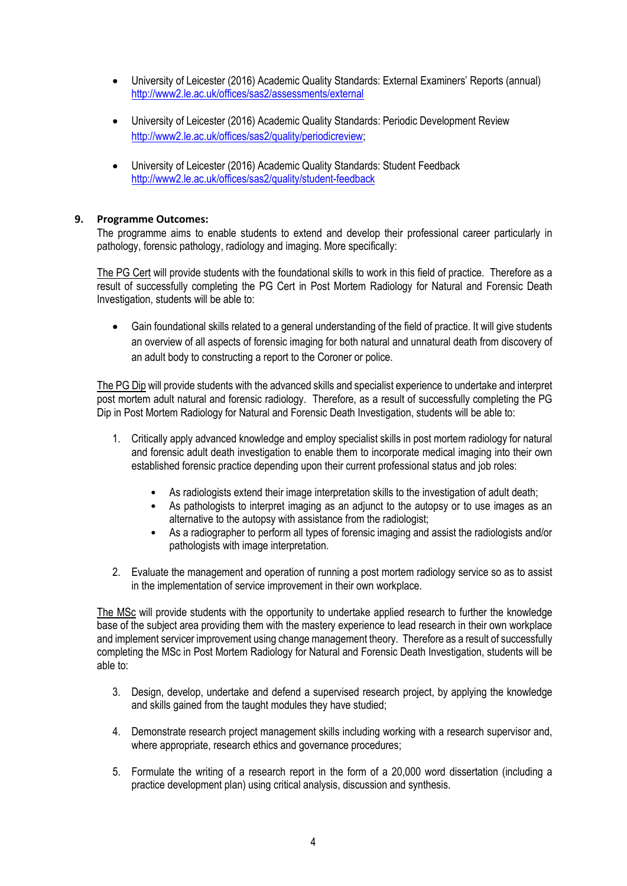- University of Leicester (2016) Academic Quality Standards: External Examiners' Reports (annual) <http://www2.le.ac.uk/offices/sas2/assessments/external>
- University of Leicester (2016) Academic Quality Standards: Periodic Development Review [http://www2.le.ac.uk/offices/sas2/quality/periodicreview;](http://www2.le.ac.uk/offices/sas2/quality/periodicreview)
- University of Leicester (2016) Academic Quality Standards: Student Feedback <http://www2.le.ac.uk/offices/sas2/quality/student-feedback>

# **9. Programme Outcomes:**

The programme aims to enable students to extend and develop their professional career particularly in pathology, forensic pathology, radiology and imaging. More specifically:

The PG Cert will provide students with the foundational skills to work in this field of practice. Therefore as a result of successfully completing the PG Cert in Post Mortem Radiology for Natural and Forensic Death Investigation, students will be able to:

• Gain foundational skills related to a general understanding of the field of practice. It will give students an overview of all aspects of forensic imaging for both natural and unnatural death from discovery of an adult body to constructing a report to the Coroner or police.

The PG Dip will provide students with the advanced skills and specialist experience to undertake and interpret post mortem adult natural and forensic radiology. Therefore, as a result of successfully completing the PG Dip in Post Mortem Radiology for Natural and Forensic Death Investigation, students will be able to:

- 1. Critically apply advanced knowledge and employ specialist skills in post mortem radiology for natural and forensic adult death investigation to enable them to incorporate medical imaging into their own established forensic practice depending upon their current professional status and job roles:
	- As radiologists extend their image interpretation skills to the investigation of adult death;
	- As pathologists to interpret imaging as an adjunct to the autopsy or to use images as an alternative to the autopsy with assistance from the radiologist;
	- As a radiographer to perform all types of forensic imaging and assist the radiologists and/or pathologists with image interpretation.
- 2. Evaluate the management and operation of running a post mortem radiology service so as to assist in the implementation of service improvement in their own workplace.

The MSc will provide students with the opportunity to undertake applied research to further the knowledge base of the subject area providing them with the mastery experience to lead research in their own workplace and implement servicer improvement using change management theory. Therefore as a result of successfully completing the MSc in Post Mortem Radiology for Natural and Forensic Death Investigation, students will be able to:

- 3. Design, develop, undertake and defend a supervised research project, by applying the knowledge and skills gained from the taught modules they have studied;
- 4. Demonstrate research project management skills including working with a research supervisor and, where appropriate, research ethics and governance procedures;
- 5. Formulate the writing of a research report in the form of a 20,000 word dissertation (including a practice development plan) using critical analysis, discussion and synthesis.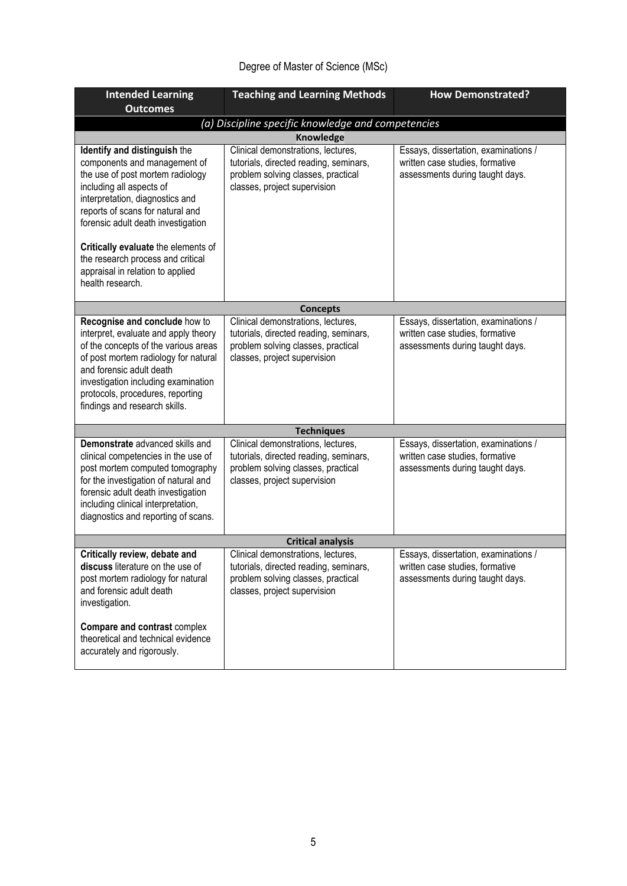# Degree of Master of Science (MSc)

| <b>Intended Learning</b>                                                                                                                                                                                                                                                                      | <b>Teaching and Learning Methods</b>                                                                                                               | <b>How Demonstrated?</b>                                                                                   |  |
|-----------------------------------------------------------------------------------------------------------------------------------------------------------------------------------------------------------------------------------------------------------------------------------------------|----------------------------------------------------------------------------------------------------------------------------------------------------|------------------------------------------------------------------------------------------------------------|--|
| <b>Outcomes</b>                                                                                                                                                                                                                                                                               |                                                                                                                                                    |                                                                                                            |  |
|                                                                                                                                                                                                                                                                                               | (a) Discipline specific knowledge and competencies                                                                                                 |                                                                                                            |  |
|                                                                                                                                                                                                                                                                                               | <b>Knowledge</b>                                                                                                                                   |                                                                                                            |  |
| Identify and distinguish the<br>components and management of<br>the use of post mortem radiology<br>including all aspects of<br>interpretation, diagnostics and<br>reports of scans for natural and<br>forensic adult death investigation                                                     | Clinical demonstrations, lectures,<br>tutorials, directed reading, seminars,<br>problem solving classes, practical<br>classes, project supervision | Essays, dissertation, examinations /<br>written case studies, formative<br>assessments during taught days. |  |
| Critically evaluate the elements of<br>the research process and critical<br>appraisal in relation to applied<br>health research.                                                                                                                                                              |                                                                                                                                                    |                                                                                                            |  |
|                                                                                                                                                                                                                                                                                               | <b>Concepts</b>                                                                                                                                    |                                                                                                            |  |
| Recognise and conclude how to<br>interpret, evaluate and apply theory<br>of the concepts of the various areas<br>of post mortem radiology for natural<br>and forensic adult death<br>investigation including examination<br>protocols, procedures, reporting<br>findings and research skills. | Clinical demonstrations, lectures,<br>tutorials, directed reading, seminars,<br>problem solving classes, practical<br>classes, project supervision | Essays, dissertation, examinations /<br>written case studies, formative<br>assessments during taught days. |  |
|                                                                                                                                                                                                                                                                                               | <b>Techniques</b>                                                                                                                                  |                                                                                                            |  |
| Demonstrate advanced skills and<br>clinical competencies in the use of<br>post mortem computed tomography<br>for the investigation of natural and<br>forensic adult death investigation<br>including clinical interpretation,<br>diagnostics and reporting of scans.                          | Clinical demonstrations, lectures,<br>tutorials, directed reading, seminars,<br>problem solving classes, practical<br>classes, project supervision | Essays, dissertation, examinations /<br>written case studies, formative<br>assessments during taught days. |  |
| <b>Critical analysis</b>                                                                                                                                                                                                                                                                      |                                                                                                                                                    |                                                                                                            |  |
| Critically review, debate and<br>discuss literature on the use of<br>post mortem radiology for natural<br>and forensic adult death<br>investigation.<br>Compare and contrast complex                                                                                                          | Clinical demonstrations, lectures,<br>tutorials, directed reading, seminars,<br>problem solving classes, practical<br>classes, project supervision | Essays, dissertation, examinations /<br>written case studies, formative<br>assessments during taught days. |  |
| theoretical and technical evidence<br>accurately and rigorously.                                                                                                                                                                                                                              |                                                                                                                                                    |                                                                                                            |  |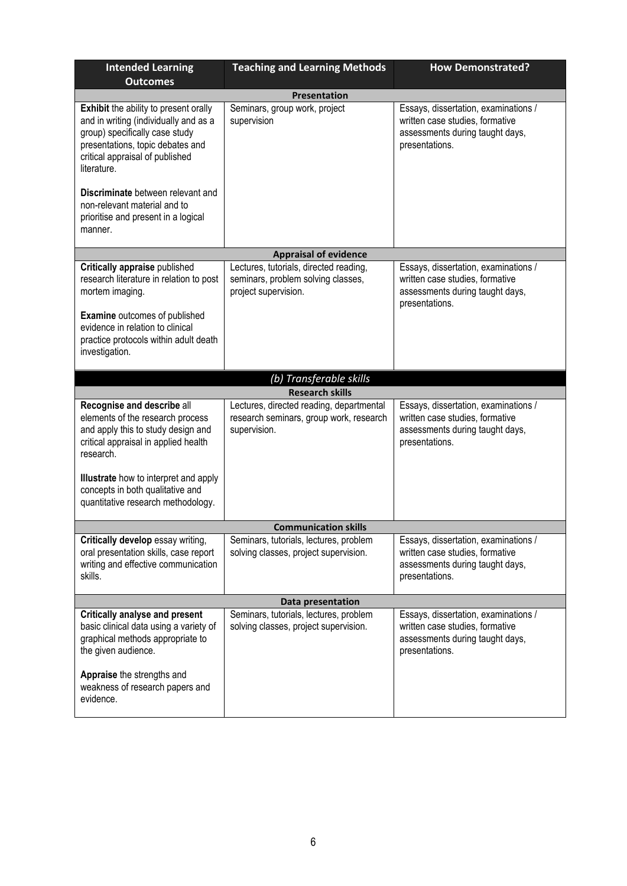| <b>Intended Learning</b><br><b>Outcomes</b>                                                                                                                                                                   | <b>Teaching and Learning Methods</b>                                                                 | <b>How Demonstrated?</b>                                                                                                     |  |  |
|---------------------------------------------------------------------------------------------------------------------------------------------------------------------------------------------------------------|------------------------------------------------------------------------------------------------------|------------------------------------------------------------------------------------------------------------------------------|--|--|
| <b>Presentation</b>                                                                                                                                                                                           |                                                                                                      |                                                                                                                              |  |  |
| <b>Exhibit</b> the ability to present orally<br>and in writing (individually and as a<br>group) specifically case study<br>presentations, topic debates and<br>critical appraisal of published<br>literature. | Seminars, group work, project<br>supervision                                                         | Essays, dissertation, examinations /<br>written case studies, formative<br>assessments during taught days,<br>presentations. |  |  |
| Discriminate between relevant and<br>non-relevant material and to<br>prioritise and present in a logical<br>manner.                                                                                           |                                                                                                      |                                                                                                                              |  |  |
|                                                                                                                                                                                                               | <b>Appraisal of evidence</b>                                                                         |                                                                                                                              |  |  |
| Critically appraise published<br>research literature in relation to post<br>mortem imaging.                                                                                                                   | Lectures, tutorials, directed reading,<br>seminars, problem solving classes,<br>project supervision. | Essays, dissertation, examinations /<br>written case studies, formative<br>assessments during taught days,<br>presentations. |  |  |
| <b>Examine</b> outcomes of published<br>evidence in relation to clinical<br>practice protocols within adult death<br>investigation.                                                                           |                                                                                                      |                                                                                                                              |  |  |
|                                                                                                                                                                                                               | (b) Transferable skills                                                                              |                                                                                                                              |  |  |
|                                                                                                                                                                                                               | <b>Research skills</b>                                                                               |                                                                                                                              |  |  |
| Recognise and describe all<br>elements of the research process<br>and apply this to study design and<br>critical appraisal in applied health<br>research.                                                     | Lectures, directed reading, departmental<br>research seminars, group work, research<br>supervision.  | Essays, dissertation, examinations /<br>written case studies, formative<br>assessments during taught days,<br>presentations. |  |  |
| <b>Illustrate</b> how to interpret and apply<br>concepts in both qualitative and<br>quantitative research methodology.                                                                                        |                                                                                                      |                                                                                                                              |  |  |
|                                                                                                                                                                                                               | <b>Communication skills</b>                                                                          |                                                                                                                              |  |  |
| Critically develop essay writing,<br>oral presentation skills, case report<br>writing and effective communication<br>skills.                                                                                  | Seminars, tutorials, lectures, problem<br>solving classes, project supervision.                      | Essays, dissertation, examinations /<br>written case studies, formative<br>assessments during taught days,<br>presentations. |  |  |
| Data presentation                                                                                                                                                                                             |                                                                                                      |                                                                                                                              |  |  |
| <b>Critically analyse and present</b><br>basic clinical data using a variety of<br>graphical methods appropriate to<br>the given audience.                                                                    | Seminars, tutorials, lectures, problem<br>solving classes, project supervision.                      | Essays, dissertation, examinations /<br>written case studies, formative<br>assessments during taught days,<br>presentations. |  |  |
| Appraise the strengths and<br>weakness of research papers and<br>evidence.                                                                                                                                    |                                                                                                      |                                                                                                                              |  |  |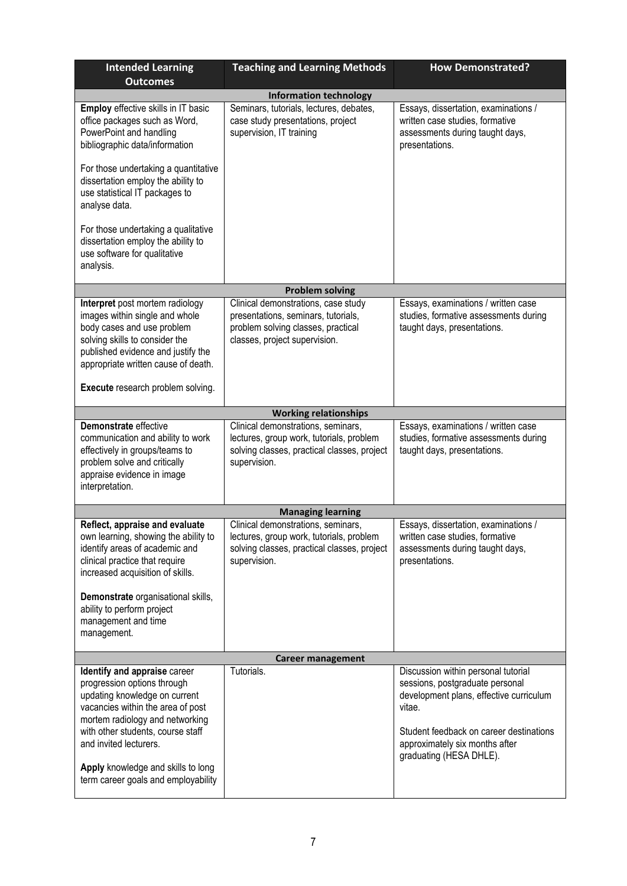| <b>Intended Learning</b><br><b>Outcomes</b>                                                                                                                                                                                                                                                                      | <b>Teaching and Learning Methods</b>                                                                                                              | <b>How Demonstrated?</b>                                                                                                                                                                                                            |  |  |
|------------------------------------------------------------------------------------------------------------------------------------------------------------------------------------------------------------------------------------------------------------------------------------------------------------------|---------------------------------------------------------------------------------------------------------------------------------------------------|-------------------------------------------------------------------------------------------------------------------------------------------------------------------------------------------------------------------------------------|--|--|
| <b>Information technology</b>                                                                                                                                                                                                                                                                                    |                                                                                                                                                   |                                                                                                                                                                                                                                     |  |  |
| Employ effective skills in IT basic<br>office packages such as Word,<br>PowerPoint and handling<br>bibliographic data/information                                                                                                                                                                                | Seminars, tutorials, lectures, debates,<br>case study presentations, project<br>supervision, IT training                                          | Essays, dissertation, examinations /<br>written case studies, formative<br>assessments during taught days,<br>presentations.                                                                                                        |  |  |
| For those undertaking a quantitative<br>dissertation employ the ability to<br>use statistical IT packages to<br>analyse data.                                                                                                                                                                                    |                                                                                                                                                   |                                                                                                                                                                                                                                     |  |  |
| For those undertaking a qualitative<br>dissertation employ the ability to<br>use software for qualitative<br>analysis.                                                                                                                                                                                           |                                                                                                                                                   |                                                                                                                                                                                                                                     |  |  |
|                                                                                                                                                                                                                                                                                                                  | <b>Problem solving</b>                                                                                                                            |                                                                                                                                                                                                                                     |  |  |
| Interpret post mortem radiology<br>images within single and whole<br>body cases and use problem<br>solving skills to consider the<br>published evidence and justify the<br>appropriate written cause of death.                                                                                                   | Clinical demonstrations, case study<br>presentations, seminars, tutorials,<br>problem solving classes, practical<br>classes, project supervision. | Essays, examinations / written case<br>studies, formative assessments during<br>taught days, presentations.                                                                                                                         |  |  |
| Execute research problem solving.                                                                                                                                                                                                                                                                                |                                                                                                                                                   |                                                                                                                                                                                                                                     |  |  |
|                                                                                                                                                                                                                                                                                                                  | <b>Working relationships</b>                                                                                                                      |                                                                                                                                                                                                                                     |  |  |
| Demonstrate effective<br>communication and ability to work<br>effectively in groups/teams to<br>problem solve and critically<br>appraise evidence in image<br>interpretation.                                                                                                                                    | Clinical demonstrations, seminars,<br>lectures, group work, tutorials, problem<br>solving classes, practical classes, project<br>supervision.     | Essays, examinations / written case<br>studies, formative assessments during<br>taught days, presentations.                                                                                                                         |  |  |
|                                                                                                                                                                                                                                                                                                                  | <b>Managing learning</b>                                                                                                                          |                                                                                                                                                                                                                                     |  |  |
| Reflect, appraise and evaluate<br>own learning, showing the ability to<br>identify areas of academic and<br>clinical practice that require<br>increased acquisition of skills.<br>Demonstrate organisational skills,<br>ability to perform project                                                               | Clinical demonstrations, seminars,<br>lectures, group work, tutorials, problem<br>solving classes, practical classes, project<br>supervision.     | Essavs, dissertation, examinations /<br>written case studies, formative<br>assessments during taught days,<br>presentations.                                                                                                        |  |  |
| management and time<br>management.                                                                                                                                                                                                                                                                               |                                                                                                                                                   |                                                                                                                                                                                                                                     |  |  |
| <b>Career management</b>                                                                                                                                                                                                                                                                                         |                                                                                                                                                   |                                                                                                                                                                                                                                     |  |  |
| Identify and appraise career<br>progression options through<br>updating knowledge on current<br>vacancies within the area of post<br>mortem radiology and networking<br>with other students, course staff<br>and invited lecturers.<br>Apply knowledge and skills to long<br>term career goals and employability | Tutorials.                                                                                                                                        | Discussion within personal tutorial<br>sessions, postgraduate personal<br>development plans, effective curriculum<br>vitae.<br>Student feedback on career destinations<br>approximately six months after<br>graduating (HESA DHLE). |  |  |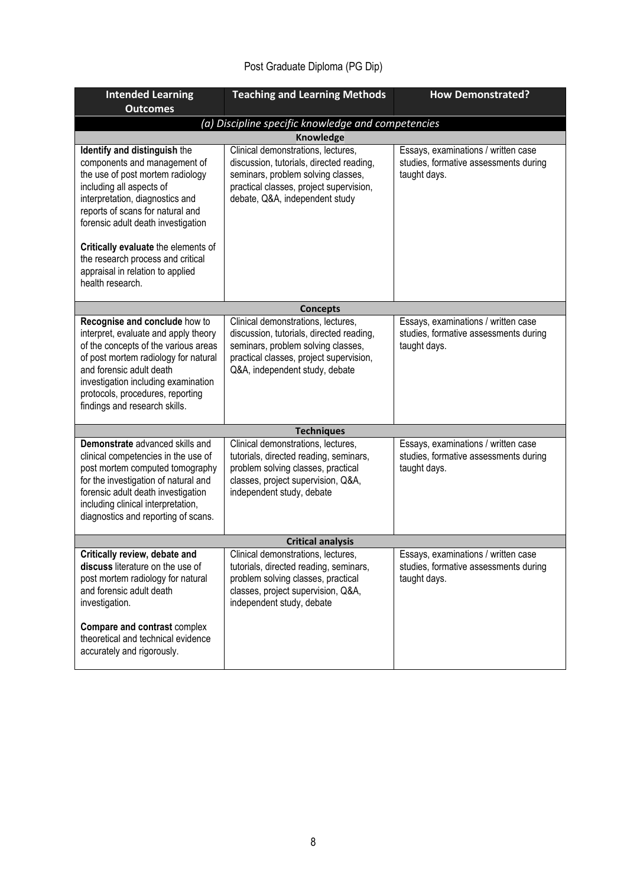# Post Graduate Diploma (PG Dip)

| <b>Intended Learning</b>                                                                                                                                                                                                                                                                      | <b>Teaching and Learning Methods</b>                                                                                                                                                              | <b>How Demonstrated?</b>                                                                     |  |  |
|-----------------------------------------------------------------------------------------------------------------------------------------------------------------------------------------------------------------------------------------------------------------------------------------------|---------------------------------------------------------------------------------------------------------------------------------------------------------------------------------------------------|----------------------------------------------------------------------------------------------|--|--|
| <b>Outcomes</b>                                                                                                                                                                                                                                                                               |                                                                                                                                                                                                   |                                                                                              |  |  |
| (a) Discipline specific knowledge and competencies                                                                                                                                                                                                                                            |                                                                                                                                                                                                   |                                                                                              |  |  |
|                                                                                                                                                                                                                                                                                               | <b>Knowledge</b>                                                                                                                                                                                  |                                                                                              |  |  |
| Identify and distinguish the<br>components and management of<br>the use of post mortem radiology<br>including all aspects of<br>interpretation, diagnostics and<br>reports of scans for natural and<br>forensic adult death investigation                                                     | Clinical demonstrations, lectures,<br>discussion, tutorials, directed reading,<br>seminars, problem solving classes,<br>practical classes, project supervision,<br>debate, Q&A, independent study | Essays, examinations / written case<br>studies, formative assessments during<br>taught days. |  |  |
| Critically evaluate the elements of<br>the research process and critical<br>appraisal in relation to applied<br>health research.                                                                                                                                                              |                                                                                                                                                                                                   |                                                                                              |  |  |
|                                                                                                                                                                                                                                                                                               | <b>Concepts</b>                                                                                                                                                                                   |                                                                                              |  |  |
| Recognise and conclude how to<br>interpret, evaluate and apply theory<br>of the concepts of the various areas<br>of post mortem radiology for natural<br>and forensic adult death<br>investigation including examination<br>protocols, procedures, reporting<br>findings and research skills. | Clinical demonstrations, lectures,<br>discussion, tutorials, directed reading,<br>seminars, problem solving classes,<br>practical classes, project supervision,<br>Q&A, independent study, debate | Essays, examinations / written case<br>studies, formative assessments during<br>taught days. |  |  |
|                                                                                                                                                                                                                                                                                               | <b>Techniques</b>                                                                                                                                                                                 |                                                                                              |  |  |
| Demonstrate advanced skills and<br>clinical competencies in the use of<br>post mortem computed tomography<br>for the investigation of natural and<br>forensic adult death investigation<br>including clinical interpretation,<br>diagnostics and reporting of scans.                          | Clinical demonstrations, lectures,<br>tutorials, directed reading, seminars,<br>problem solving classes, practical<br>classes, project supervision, Q&A,<br>independent study, debate             | Essays, examinations / written case<br>studies, formative assessments during<br>taught days. |  |  |
| <b>Critical analysis</b>                                                                                                                                                                                                                                                                      |                                                                                                                                                                                                   |                                                                                              |  |  |
| Critically review, debate and<br>discuss literature on the use of<br>post mortem radiology for natural<br>and forensic adult death<br>investigation.<br>Compare and contrast complex<br>theoretical and technical evidence                                                                    | Clinical demonstrations, lectures,<br>tutorials, directed reading, seminars,<br>problem solving classes, practical<br>classes, project supervision, Q&A,<br>independent study, debate             | Essays, examinations / written case<br>studies, formative assessments during<br>taught days. |  |  |
| accurately and rigorously.                                                                                                                                                                                                                                                                    |                                                                                                                                                                                                   |                                                                                              |  |  |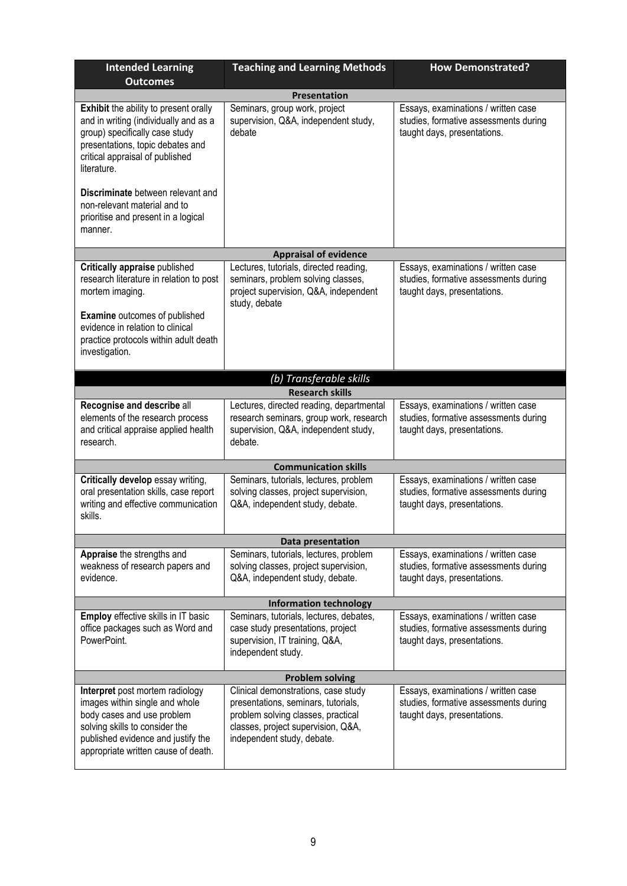| <b>Intended Learning</b><br><b>Outcomes</b>                                                                                                                                                                      | <b>Teaching and Learning Methods</b>                                                                                                                                                 | <b>How Demonstrated?</b>                                                                                    |  |  |
|------------------------------------------------------------------------------------------------------------------------------------------------------------------------------------------------------------------|--------------------------------------------------------------------------------------------------------------------------------------------------------------------------------------|-------------------------------------------------------------------------------------------------------------|--|--|
| <b>Presentation</b>                                                                                                                                                                                              |                                                                                                                                                                                      |                                                                                                             |  |  |
| <b>Exhibit</b> the ability to present orally<br>and in writing (individually and as a<br>group) specifically case study<br>presentations, topic debates and<br>critical appraisal of published<br>literature.    | Seminars, group work, project<br>supervision, Q&A, independent study,<br>debate                                                                                                      | Essays, examinations / written case<br>studies, formative assessments during<br>taught days, presentations. |  |  |
| Discriminate between relevant and<br>non-relevant material and to<br>prioritise and present in a logical<br>manner.                                                                                              |                                                                                                                                                                                      |                                                                                                             |  |  |
|                                                                                                                                                                                                                  | <b>Appraisal of evidence</b>                                                                                                                                                         |                                                                                                             |  |  |
| Critically appraise published<br>research literature in relation to post<br>mortem imaging.<br><b>Examine</b> outcomes of published<br>evidence in relation to clinical<br>practice protocols within adult death | Lectures, tutorials, directed reading,<br>seminars, problem solving classes,<br>project supervision, Q&A, independent<br>study, debate                                               | Essays, examinations / written case<br>studies, formative assessments during<br>taught days, presentations. |  |  |
| investigation.                                                                                                                                                                                                   |                                                                                                                                                                                      |                                                                                                             |  |  |
|                                                                                                                                                                                                                  | (b) Transferable skills                                                                                                                                                              |                                                                                                             |  |  |
|                                                                                                                                                                                                                  | <b>Research skills</b>                                                                                                                                                               |                                                                                                             |  |  |
| Recognise and describe all<br>elements of the research process<br>and critical appraise applied health<br>research.                                                                                              | Lectures, directed reading, departmental<br>research seminars, group work, research<br>supervision, Q&A, independent study,<br>debate.                                               | Essays, examinations / written case<br>studies, formative assessments during<br>taught days, presentations. |  |  |
|                                                                                                                                                                                                                  | <b>Communication skills</b>                                                                                                                                                          |                                                                                                             |  |  |
| Critically develop essay writing,<br>oral presentation skills, case report<br>writing and effective communication<br>skills.                                                                                     | Seminars, tutorials, lectures, problem<br>solving classes, project supervision,<br>Q&A, independent study, debate.                                                                   | Essays, examinations / written case<br>studies, formative assessments during<br>taught days, presentations. |  |  |
|                                                                                                                                                                                                                  | Data presentation                                                                                                                                                                    |                                                                                                             |  |  |
| Appraise the strengths and<br>weakness of research papers and<br>evidence.                                                                                                                                       | Seminars, tutorials, lectures, problem<br>solving classes, project supervision,<br>Q&A, independent study, debate.                                                                   | Essays, examinations / written case<br>studies, formative assessments during<br>taught days, presentations. |  |  |
| <b>Information technology</b>                                                                                                                                                                                    |                                                                                                                                                                                      |                                                                                                             |  |  |
| <b>Employ</b> effective skills in IT basic<br>office packages such as Word and<br>PowerPoint.                                                                                                                    | Seminars, tutorials, lectures, debates,<br>case study presentations, project<br>supervision, IT training, Q&A,<br>independent study.                                                 | Essays, examinations / written case<br>studies, formative assessments during<br>taught days, presentations. |  |  |
| <b>Problem solving</b>                                                                                                                                                                                           |                                                                                                                                                                                      |                                                                                                             |  |  |
| Interpret post mortem radiology<br>images within single and whole<br>body cases and use problem<br>solving skills to consider the<br>published evidence and justify the<br>appropriate written cause of death.   | Clinical demonstrations, case study<br>presentations, seminars, tutorials,<br>problem solving classes, practical<br>classes, project supervision, Q&A,<br>independent study, debate. | Essays, examinations / written case<br>studies, formative assessments during<br>taught days, presentations. |  |  |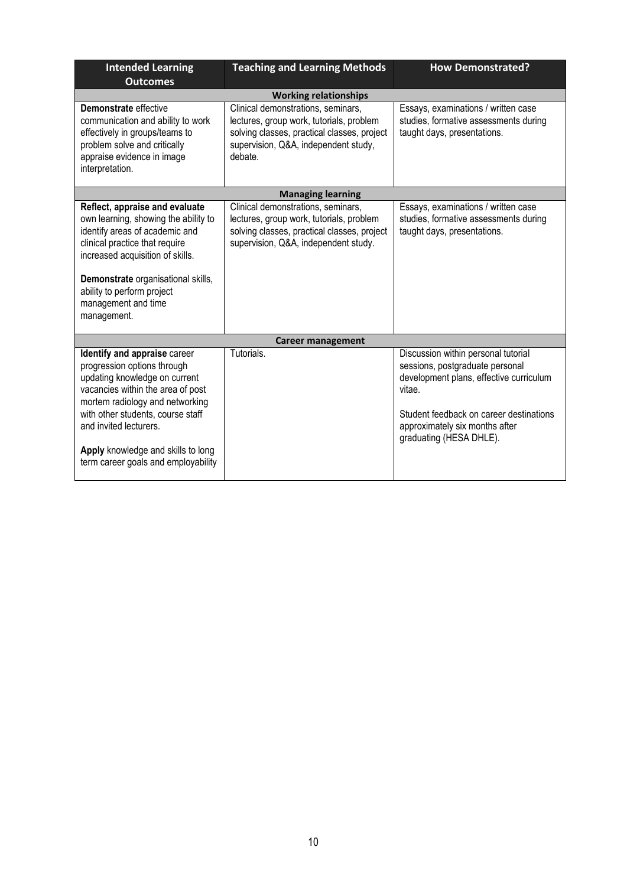| <b>Intended Learning</b><br><b>Outcomes</b>                                                                                                                                                                                                                                                                      | <b>Teaching and Learning Methods</b>                                                                                                                                             | <b>How Demonstrated?</b>                                                                                                                                                                                                            |  |
|------------------------------------------------------------------------------------------------------------------------------------------------------------------------------------------------------------------------------------------------------------------------------------------------------------------|----------------------------------------------------------------------------------------------------------------------------------------------------------------------------------|-------------------------------------------------------------------------------------------------------------------------------------------------------------------------------------------------------------------------------------|--|
|                                                                                                                                                                                                                                                                                                                  | <b>Working relationships</b>                                                                                                                                                     |                                                                                                                                                                                                                                     |  |
| Demonstrate effective<br>communication and ability to work<br>effectively in groups/teams to<br>problem solve and critically<br>appraise evidence in image<br>interpretation.                                                                                                                                    | Clinical demonstrations, seminars,<br>lectures, group work, tutorials, problem<br>solving classes, practical classes, project<br>supervision, Q&A, independent study,<br>debate. | Essays, examinations / written case<br>studies, formative assessments during<br>taught days, presentations.                                                                                                                         |  |
|                                                                                                                                                                                                                                                                                                                  | <b>Managing learning</b>                                                                                                                                                         |                                                                                                                                                                                                                                     |  |
| Reflect, appraise and evaluate<br>own learning, showing the ability to<br>identify areas of academic and<br>clinical practice that require<br>increased acquisition of skills.<br>Demonstrate organisational skills,<br>ability to perform project<br>management and time<br>management.                         | Clinical demonstrations, seminars,<br>lectures, group work, tutorials, problem<br>solving classes, practical classes, project<br>supervision, Q&A, independent study.            | Essays, examinations / written case<br>studies, formative assessments during<br>taught days, presentations.                                                                                                                         |  |
|                                                                                                                                                                                                                                                                                                                  | <b>Career management</b>                                                                                                                                                         |                                                                                                                                                                                                                                     |  |
| Identify and appraise career<br>progression options through<br>updating knowledge on current<br>vacancies within the area of post<br>mortem radiology and networking<br>with other students, course staff<br>and invited lecturers.<br>Apply knowledge and skills to long<br>term career goals and employability | Tutorials.                                                                                                                                                                       | Discussion within personal tutorial<br>sessions, postgraduate personal<br>development plans, effective curriculum<br>vitae.<br>Student feedback on career destinations<br>approximately six months after<br>graduating (HESA DHLE). |  |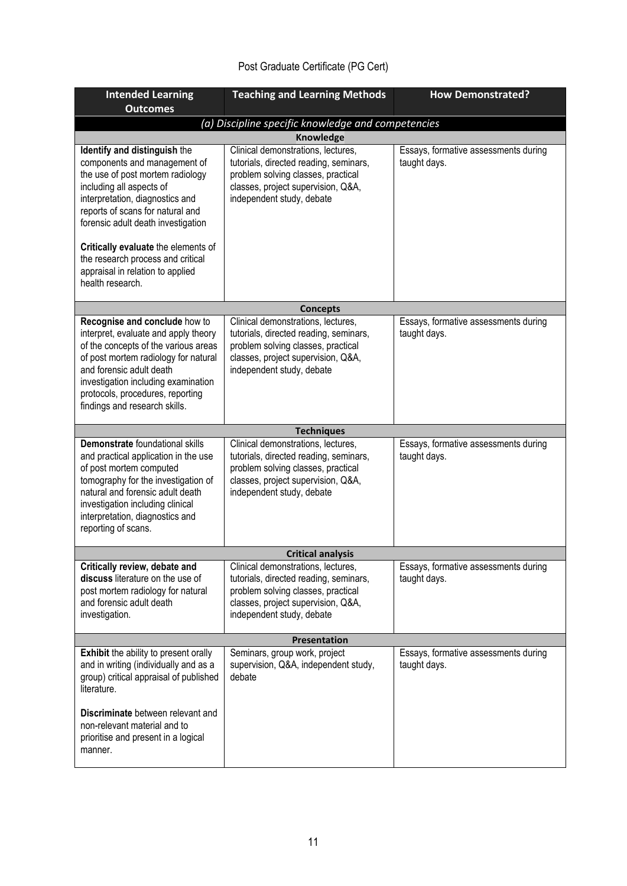# Post Graduate Certificate (PG Cert)

| <b>Intended Learning</b><br><b>Outcomes</b>                                                                                                                                                                                                                                                   | <b>Teaching and Learning Methods</b>                                                                                                                                                  | <b>How Demonstrated?</b>                             |  |  |
|-----------------------------------------------------------------------------------------------------------------------------------------------------------------------------------------------------------------------------------------------------------------------------------------------|---------------------------------------------------------------------------------------------------------------------------------------------------------------------------------------|------------------------------------------------------|--|--|
| (a) Discipline specific knowledge and competencies                                                                                                                                                                                                                                            |                                                                                                                                                                                       |                                                      |  |  |
| <b>Knowledge</b>                                                                                                                                                                                                                                                                              |                                                                                                                                                                                       |                                                      |  |  |
| Identify and distinguish the<br>components and management of<br>the use of post mortem radiology<br>including all aspects of<br>interpretation, diagnostics and<br>reports of scans for natural and<br>forensic adult death investigation<br>Critically evaluate the elements of              | Clinical demonstrations, lectures,<br>tutorials, directed reading, seminars,<br>problem solving classes, practical<br>classes, project supervision, Q&A,<br>independent study, debate | Essays, formative assessments during<br>taught days. |  |  |
| the research process and critical<br>appraisal in relation to applied<br>health research.                                                                                                                                                                                                     |                                                                                                                                                                                       |                                                      |  |  |
|                                                                                                                                                                                                                                                                                               | <b>Concepts</b>                                                                                                                                                                       |                                                      |  |  |
| Recognise and conclude how to<br>interpret, evaluate and apply theory<br>of the concepts of the various areas<br>of post mortem radiology for natural<br>and forensic adult death<br>investigation including examination<br>protocols, procedures, reporting<br>findings and research skills. | Clinical demonstrations, lectures,<br>tutorials, directed reading, seminars,<br>problem solving classes, practical<br>classes, project supervision, Q&A,<br>independent study, debate | Essays, formative assessments during<br>taught days. |  |  |
|                                                                                                                                                                                                                                                                                               | <b>Techniques</b>                                                                                                                                                                     |                                                      |  |  |
| Demonstrate foundational skills<br>and practical application in the use<br>of post mortem computed<br>tomography for the investigation of<br>natural and forensic adult death<br>investigation including clinical<br>interpretation, diagnostics and<br>reporting of scans.                   | Clinical demonstrations, lectures,<br>tutorials, directed reading, seminars,<br>problem solving classes, practical<br>classes, project supervision, Q&A,<br>independent study, debate | Essays, formative assessments during<br>taught days. |  |  |
|                                                                                                                                                                                                                                                                                               | <b>Critical analysis</b>                                                                                                                                                              |                                                      |  |  |
| Critically review, debate and<br>discuss literature on the use of<br>post mortem radiology for natural<br>and forensic adult death<br>investigation.                                                                                                                                          | Clinical demonstrations, lectures,<br>tutorials, directed reading, seminars,<br>problem solving classes, practical<br>classes, project supervision, Q&A,<br>independent study, debate | Essays, formative assessments during<br>taught days. |  |  |
|                                                                                                                                                                                                                                                                                               | Presentation                                                                                                                                                                          |                                                      |  |  |
| <b>Exhibit</b> the ability to present orally<br>and in writing (individually and as a<br>group) critical appraisal of published<br>literature.                                                                                                                                                | Seminars, group work, project<br>supervision, Q&A, independent study,<br>debate                                                                                                       | Essays, formative assessments during<br>taught days. |  |  |
| Discriminate between relevant and<br>non-relevant material and to<br>prioritise and present in a logical<br>manner.                                                                                                                                                                           |                                                                                                                                                                                       |                                                      |  |  |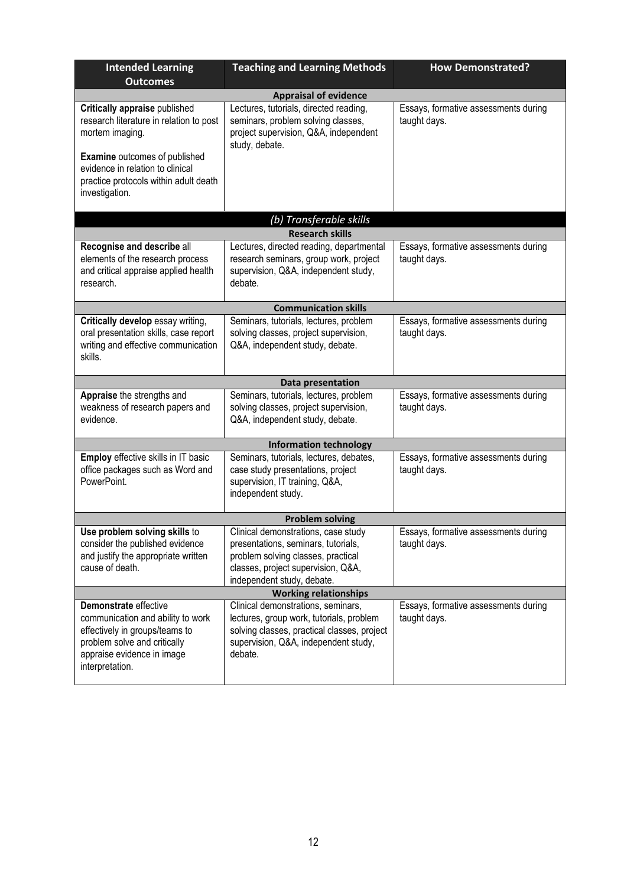| <b>Intended Learning</b><br><b>Outcomes</b>                                                                                                                                                                                        | <b>Teaching and Learning Methods</b>                                                                                                                                                 | <b>How Demonstrated?</b>                             |  |  |
|------------------------------------------------------------------------------------------------------------------------------------------------------------------------------------------------------------------------------------|--------------------------------------------------------------------------------------------------------------------------------------------------------------------------------------|------------------------------------------------------|--|--|
| <b>Appraisal of evidence</b>                                                                                                                                                                                                       |                                                                                                                                                                                      |                                                      |  |  |
| Critically appraise published<br>research literature in relation to post<br>mortem imaging.<br><b>Examine</b> outcomes of published<br>evidence in relation to clinical<br>practice protocols within adult death<br>investigation. | Lectures, tutorials, directed reading,<br>seminars, problem solving classes,<br>project supervision, Q&A, independent<br>study, debate.                                              | Essays, formative assessments during<br>taught days. |  |  |
|                                                                                                                                                                                                                                    | (b) Transferable skills                                                                                                                                                              |                                                      |  |  |
|                                                                                                                                                                                                                                    | <b>Research skills</b>                                                                                                                                                               |                                                      |  |  |
| Recognise and describe all<br>elements of the research process<br>and critical appraise applied health<br>research.                                                                                                                | Lectures, directed reading, departmental<br>research seminars, group work, project<br>supervision, Q&A, independent study,<br>debate.                                                | Essays, formative assessments during<br>taught days. |  |  |
|                                                                                                                                                                                                                                    | <b>Communication skills</b>                                                                                                                                                          |                                                      |  |  |
| Critically develop essay writing,<br>oral presentation skills, case report<br>writing and effective communication<br>skills.                                                                                                       | Seminars, tutorials, lectures, problem<br>solving classes, project supervision,<br>Q&A, independent study, debate.                                                                   | Essays, formative assessments during<br>taught days. |  |  |
|                                                                                                                                                                                                                                    | Data presentation                                                                                                                                                                    |                                                      |  |  |
| Appraise the strengths and<br>weakness of research papers and<br>evidence.                                                                                                                                                         | Seminars, tutorials, lectures, problem<br>solving classes, project supervision,<br>Q&A, independent study, debate.                                                                   | Essays, formative assessments during<br>taught days. |  |  |
|                                                                                                                                                                                                                                    | <b>Information technology</b>                                                                                                                                                        |                                                      |  |  |
| Employ effective skills in IT basic<br>office packages such as Word and<br>PowerPoint.                                                                                                                                             | Seminars, tutorials, lectures, debates,<br>case study presentations, project<br>supervision, IT training, Q&A,<br>independent study.                                                 | Essays, formative assessments during<br>taught days. |  |  |
| <b>Problem solving</b>                                                                                                                                                                                                             |                                                                                                                                                                                      |                                                      |  |  |
| USE problem solving Skills to<br>consider the published evidence<br>and justify the appropriate written<br>cause of death.                                                                                                         | Clinical demonstrations, case study<br>presentations, seminars, tutorials,<br>problem solving classes, practical<br>classes, project supervision, Q&A,<br>independent study, debate. | Essays, formative assessments during<br>taught days. |  |  |
|                                                                                                                                                                                                                                    | <b>Working relationships</b>                                                                                                                                                         |                                                      |  |  |
| Demonstrate effective<br>communication and ability to work<br>effectively in groups/teams to<br>problem solve and critically<br>appraise evidence in image<br>interpretation.                                                      | Clinical demonstrations, seminars,<br>lectures, group work, tutorials, problem<br>solving classes, practical classes, project<br>supervision, Q&A, independent study,<br>debate.     | Essays, formative assessments during<br>taught days. |  |  |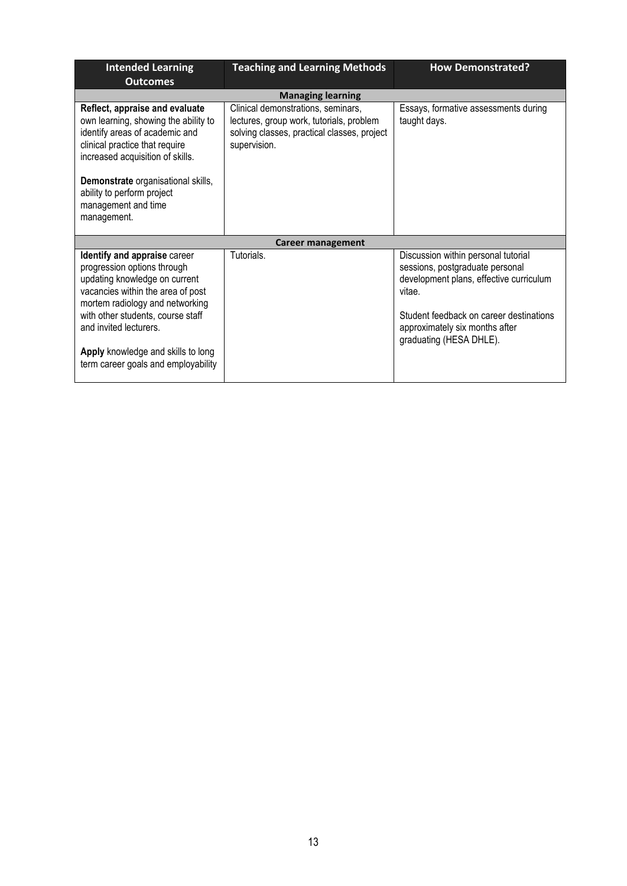| <b>Intended Learning</b><br><b>Outcomes</b>                                                                                                                                                                                                                                                                      | <b>Teaching and Learning Methods</b>                                                                                                          | <b>How Demonstrated?</b>                                                                                                                                                                                                            |
|------------------------------------------------------------------------------------------------------------------------------------------------------------------------------------------------------------------------------------------------------------------------------------------------------------------|-----------------------------------------------------------------------------------------------------------------------------------------------|-------------------------------------------------------------------------------------------------------------------------------------------------------------------------------------------------------------------------------------|
|                                                                                                                                                                                                                                                                                                                  | <b>Managing learning</b>                                                                                                                      |                                                                                                                                                                                                                                     |
| Reflect, appraise and evaluate<br>own learning, showing the ability to<br>identify areas of academic and<br>clinical practice that require<br>increased acquisition of skills.<br>Demonstrate organisational skills,<br>ability to perform project<br>management and time<br>management.                         | Clinical demonstrations, seminars,<br>lectures, group work, tutorials, problem<br>solving classes, practical classes, project<br>supervision. | Essays, formative assessments during<br>taught days.                                                                                                                                                                                |
|                                                                                                                                                                                                                                                                                                                  | <b>Career management</b>                                                                                                                      |                                                                                                                                                                                                                                     |
| Identify and appraise career<br>progression options through<br>updating knowledge on current<br>vacancies within the area of post<br>mortem radiology and networking<br>with other students, course staff<br>and invited lecturers.<br>Apply knowledge and skills to long<br>term career goals and employability | Tutorials.                                                                                                                                    | Discussion within personal tutorial<br>sessions, postgraduate personal<br>development plans, effective curriculum<br>vitae.<br>Student feedback on career destinations<br>approximately six months after<br>graduating (HESA DHLE). |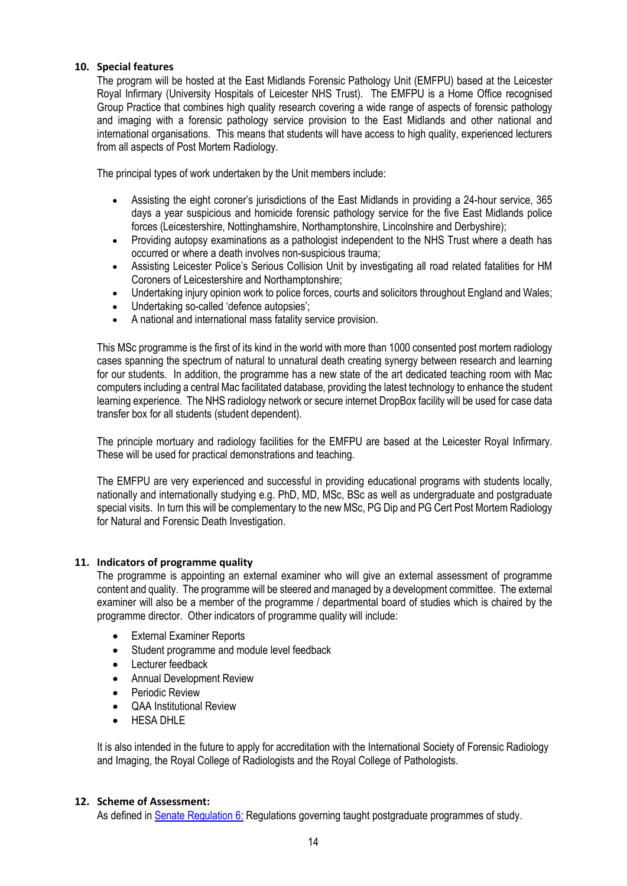#### **10. Special features**

The program will be hosted at the East Midlands Forensic Pathology Unit (EMFPU) based at the Leicester Royal Infirmary (University Hospitals of Leicester NHS Trust). The EMFPU is a Home Office recognised Group Practice that combines high quality research covering a wide range of aspects of forensic pathology and imaging with a forensic pathology service provision to the East Midlands and other national and international organisations. This means that students will have access to high quality, experienced lecturers from all aspects of Post Mortem Radiology.

The principal types of work undertaken by the Unit members include:

- Assisting the eight coroner's jurisdictions of the East Midlands in providing a 24-hour service, 365 days a year suspicious and homicide forensic pathology service for the five East Midlands police forces (Leicestershire, Nottinghamshire, Northamptonshire, Lincolnshire and Derbyshire);
- Providing autopsy examinations as a pathologist independent to the NHS Trust where a death has occurred or where a death involves non-suspicious trauma;
- Assisting Leicester Police's Serious Collision Unit by investigating all road related fatalities for HM Coroners of Leicestershire and Northamptonshire;
- Undertaking injury opinion work to police forces, courts and solicitors throughout England and Wales;
- Undertaking so-called 'defence autopsies';
- A national and international mass fatality service provision.

This MSc programme is the first of its kind in the world with more than 1000 consented post mortem radiology cases spanning the spectrum of natural to unnatural death creating synergy between research and learning for our students. In addition, the programme has a new state of the art dedicated teaching room with Mac computers including a central Mac facilitated database, providing the latest technology to enhance the student learning experience. The NHS radiology network or secure internet DropBox facility will be used for case data transfer box for all students (student dependent).

The principle mortuary and radiology facilities for the EMFPU are based at the Leicester Royal Infirmary. These will be used for practical demonstrations and teaching.

The EMFPU are very experienced and successful in providing educational programs with students locally, nationally and internationally studying e.g. PhD, MD, MSc, BSc as well as undergraduate and postgraduate special visits. In turn this will be complementary to the new MSc, PG Dip and PG Cert Post Mortem Radiology for Natural and Forensic Death Investigation.

#### **11. Indicators of programme quality**

The programme is appointing an external examiner who will give an external assessment of programme content and quality. The programme will be steered and managed by a development committee. The external examiner will also be a member of the programme / departmental board of studies which is chaired by the programme director. Other indicators of programme quality will include:

- External Examiner Reports
- Student programme and module level feedback
- Lecturer feedback
- Annual Development Review
- Periodic Review
- QAA Institutional Review
- HESA DHLE

It is also intended in the future to apply for accreditation with the International Society of Forensic Radiology and Imaging, the Royal College of Radiologists and the Royal College of Pathologists.

#### **12. Scheme of Assessment:**

As defined in [Senate Regulation 6:](http://www.le.ac.uk/senate-regulation6) Regulations governing taught postgraduate programmes of study.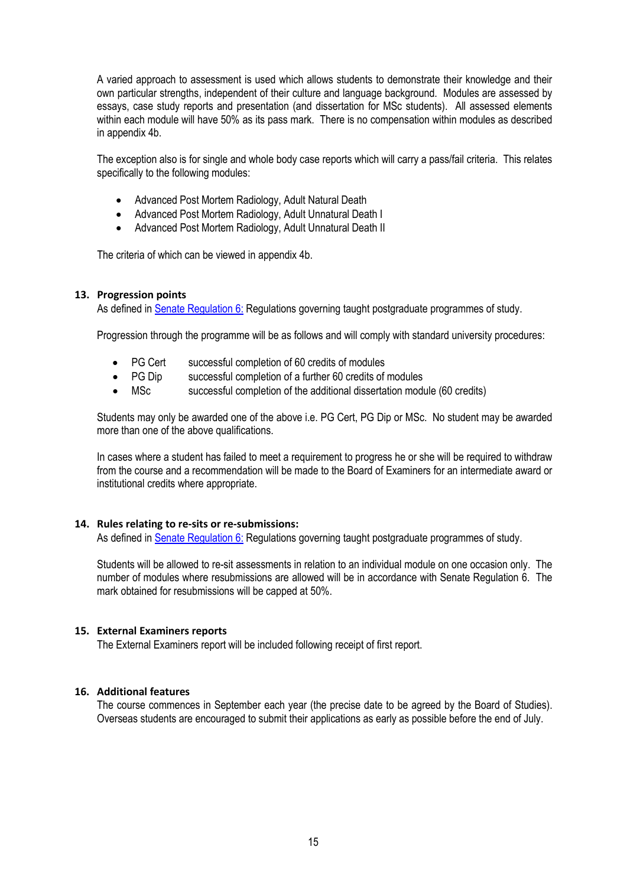A varied approach to assessment is used which allows students to demonstrate their knowledge and their own particular strengths, independent of their culture and language background. Modules are assessed by essays, case study reports and presentation (and dissertation for MSc students). All assessed elements within each module will have 50% as its pass mark. There is no compensation within modules as described in appendix 4b.

The exception also is for single and whole body case reports which will carry a pass/fail criteria. This relates specifically to the following modules:

- Advanced Post Mortem Radiology, Adult Natural Death
- Advanced Post Mortem Radiology, Adult Unnatural Death I
- Advanced Post Mortem Radiology, Adult Unnatural Death II

The criteria of which can be viewed in appendix 4b.

#### **13. Progression points**

As defined in [Senate Regulation 6:](http://www.le.ac.uk/senate-regulation6) Regulations governing taught postgraduate programmes of study.

Progression through the programme will be as follows and will comply with standard university procedures:

- PG Cert successful completion of 60 credits of modules
- PG Dip successful completion of a further 60 credits of modules
- MSc successful completion of the additional dissertation module (60 credits)

Students may only be awarded one of the above i.e. PG Cert, PG Dip or MSc. No student may be awarded more than one of the above qualifications.

In cases where a student has failed to meet a requirement to progress he or she will be required to withdraw from the course and a recommendation will be made to the Board of Examiners for an intermediate award or institutional credits where appropriate.

#### **14. Rules relating to re-sits or re-submissions:**

As defined in [Senate Regulation 6:](http://www.le.ac.uk/senate-regulation6) Regulations governing taught postgraduate programmes of study.

Students will be allowed to re-sit assessments in relation to an individual module on one occasion only. The number of modules where resubmissions are allowed will be in accordance with Senate Regulation 6. The mark obtained for resubmissions will be capped at 50%.

#### **15. External Examiners reports**

The External Examiners report will be included following receipt of first report.

#### **16. Additional features**

The course commences in September each year (the precise date to be agreed by the Board of Studies). Overseas students are encouraged to submit their applications as early as possible before the end of July.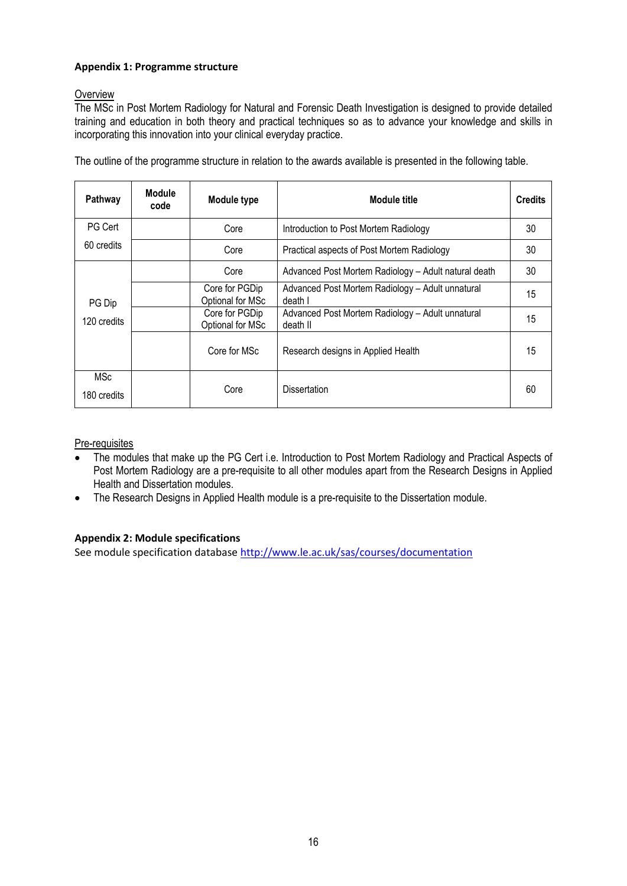# **Appendix 1: Programme structure**

# **Overview**

The MSc in Post Mortem Radiology for Natural and Forensic Death Investigation is designed to provide detailed training and education in both theory and practical techniques so as to advance your knowledge and skills in incorporating this innovation into your clinical everyday practice.

| Pathway                   | <b>Module</b><br>code              | Module type                                                  | Module title                                         | <b>Credits</b> |
|---------------------------|------------------------------------|--------------------------------------------------------------|------------------------------------------------------|----------------|
| <b>PG Cert</b>            |                                    | Core                                                         | Introduction to Post Mortem Radiology                | 30             |
| 60 credits                |                                    | Core                                                         | Practical aspects of Post Mortem Radiology           | 30             |
|                           |                                    | Core                                                         | Advanced Post Mortem Radiology - Adult natural death | 30             |
| PG Dip<br>120 credits     | Core for PGDip<br>Optional for MSc | Advanced Post Mortem Radiology - Adult unnatural<br>death I  | 15                                                   |                |
|                           | Core for PGDip<br>Optional for MSc | Advanced Post Mortem Radiology - Adult unnatural<br>death II | 15                                                   |                |
|                           |                                    | Core for MSc                                                 | Research designs in Applied Health                   | 15             |
| <b>MSc</b><br>180 credits |                                    | Core                                                         | <b>Dissertation</b>                                  | 60             |

The outline of the programme structure in relation to the awards available is presented in the following table.

## Pre-requisites

- The modules that make up the PG Cert i.e. Introduction to Post Mortem Radiology and Practical Aspects of Post Mortem Radiology are a pre-requisite to all other modules apart from the Research Designs in Applied Health and Dissertation modules.
- The Research Designs in Applied Health module is a pre-requisite to the Dissertation module.

# **Appendix 2: Module specifications**

See module specification database <http://www.le.ac.uk/sas/courses/documentation>